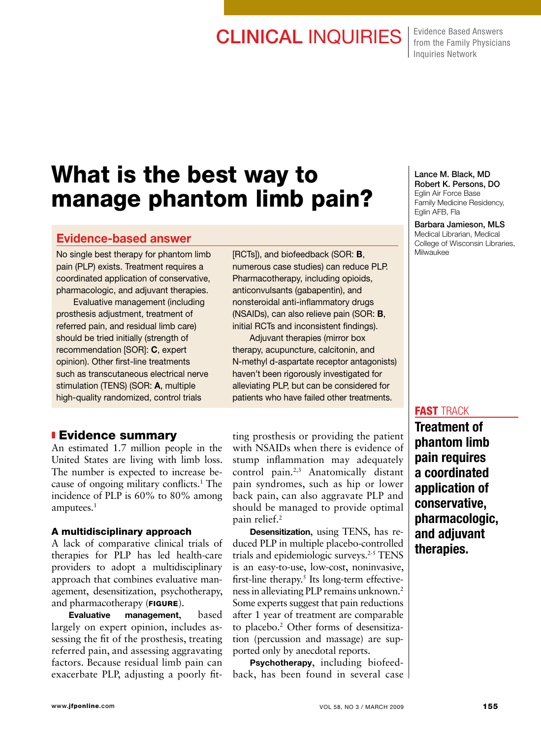# CLINICAL INQUIRIES | Evidence Based Answers

from the Family Physicians Inquiries Network

# What is the best way to manage phantom limb pain?

### Evidence-based answer

No single best therapy for phantom limb pain (PLP) exists. Treatment requires a coordinated application of conservative, pharmacologic, and adjuvant therapies.

Evaluative management (including prosthesis adjustment, treatment of referred pain, and residual limb care) should be tried initially (strength of recommendation [SOR]: C, expert opinion). Other first-line treatments such as transcutaneous electrical nerve stimulation (TENS) (SOR: A, multiple high-quality randomized, control trials

### **Evidence summary**

An estimated 1.7 million people in the United States are living with limb loss. The number is expected to increase because of ongoing military conflicts.1 The incidence of PLP is 60% to 80% among amputees.<sup>1</sup>

#### A multidisciplinary approach

A lack of comparative clinical trials of therapies for PLP has led health-care providers to adopt a multidisciplinary approach that combines evaluative management, desensitization, psychotherapy, and pharmacotherapy (FIGURE).

Evaluative management, based largely on expert opinion, includes assessing the fit of the prosthesis, treating referred pain, and assessing aggravating factors. Because residual limb pain can exacerbate PLP, adjusting a poorly fit[RCTs]), and biofeedback (SOR: B, numerous case studies) can reduce PLP. Pharmacotherapy, including opioids, anticonvulsants (gabapentin), and nonsteroidal anti-inflammatory drugs (NSAIDs), can also relieve pain (SOR: B, initial RCTs and inconsistent findings).

Adjuvant therapies (mirror box therapy, acupuncture, calcitonin, and N-methyl d-aspartate receptor antagonists) haven't been rigorously investigated for alleviating PLP, but can be considered for patients who have failed other treatments.

ting prosthesis or providing the patient with NSAIDs when there is evidence of stump inflammation may adequately control pain.<sup>2,3</sup> Anatomically distant pain syndromes, such as hip or lower back pain, can also aggravate PLP and should be managed to provide optimal pain relief.2

Desensitization, using TENS, has reduced PLP in multiple placebo-controlled trials and epidemiologic surveys.<sup>2-5</sup> TENS is an easy-to-use, low-cost, noninvasive, first-line therapy.<sup>5</sup> Its long-term effectiveness in alleviating PLP remains unknown.2 Some experts suggest that pain reductions after 1 year of treatment are comparable to placebo.2 Other forms of desensitization (percussion and massage) are supported only by anecdotal reports.

Psychotherapy, including biofeedback, has been found in several case

#### Lance M. Black, MD Robert K. Persons, DO Eglin Air Force Base Family Medicine Residency, Eglin AFB, Fla

Barbara Jamieson, MLS Medical Librarian, Medical College of Wisconsin Libraries, Milwaukee

### **FAST TRACK**

Treatment of phantom limb pain requires a coordinated application of conservative, pharmacologic, and adjuvant therapies.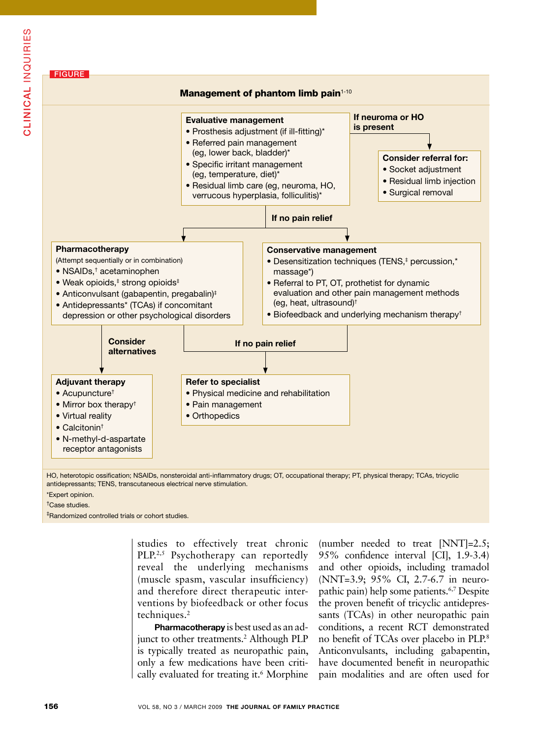

HO, heterotopic ossification; NSAIDs, nonsteroidal anti-inflammatory drugs; OT, occupational therapy; PT, physical therapy; TCAs, tricyclic antidepressants; TENS, transcutaneous electrical nerve stimulation.

\*Expert opinion.

† Case studies.

‡ Randomized controlled trials or cohort studies.

studies to effectively treat chronic PLP.<sup>2,5</sup> Psychotherapy can reportedly reveal the underlying mechanisms (muscle spasm, vascular insufficiency) and therefore direct therapeutic interventions by biofeedback or other focus techniques.<sup>2</sup>

Pharmacotherapy is best used as an adjunct to other treatments.<sup>2</sup> Although PLP is typically treated as neuropathic pain, only a few medications have been critically evaluated for treating it.6 Morphine (number needed to treat [NNT]=2.5; 95% confidence interval [CI], 1.9-3.4) and other opioids, including tramadol (NNT=3.9; 95% CI, 2.7-6.7 in neuropathic pain) help some patients.6,7 Despite the proven benefit of tricyclic antidepressants (TCAs) in other neuropathic pain conditions, a recent RCT demonstrated no benefit of TCAs over placebo in PLP.8 Anticonvulsants, including gabapentin, have documented benefit in neuropathic pain modalities and are often used for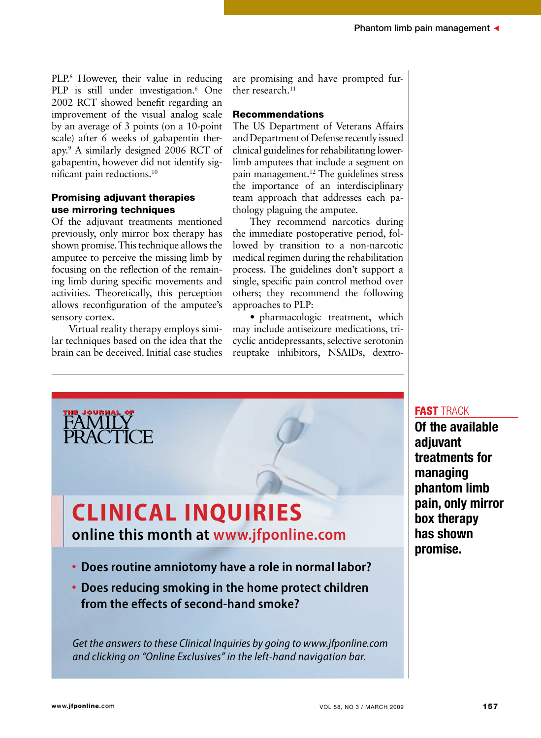PLP.<sup>6</sup> However, their value in reducing PLP is still under investigation.<sup>6</sup> One 2002 RCT showed benefit regarding an improvement of the visual analog scale by an average of 3 points (on a 10-point scale) after 6 weeks of gabapentin therapy.9 A similarly designed 2006 RCT of gabapentin, however did not identify significant pain reductions.10

#### Promising adjuvant therapies use mirroring techniques

Of the adjuvant treatments mentioned previously, only mirror box therapy has shown promise. This technique allows the amputee to perceive the missing limb by focusing on the reflection of the remaining limb during specific movements and activities. Theoretically, this perception allows reconfiguration of the amputee's sensory cortex.

Virtual reality therapy employs similar techniques based on the idea that the brain can be deceived. Initial case studies are promising and have prompted further research.<sup>11</sup>

#### Recommendations

The US Department of Veterans Affairs and Department of Defense recently issued clinical guidelines for rehabilitating lowerlimb amputees that include a segment on pain management.12 The guidelines stress the importance of an interdisciplinary team approach that addresses each pathology plaguing the amputee.

They recommend narcotics during the immediate postoperative period, followed by transition to a non-narcotic medical regimen during the rehabilitation process. The guidelines don't support a single, specific pain control method over others; they recommend the following approaches to PLP:

• pharmacologic treatment, which may include antiseizure medications, tricyclic antidepressants, selective serotonin reuptake inhibitors, NSAIDs, dextro-



*Get the answers to these Clinical Inquiries by going to www.jfponline.com and clicking on "Online Exclusives" in the left-hand navigation bar.*

#### fast track

Of the available adjuvant treatments for managing phantom limb pain, only mirror box therapy has shown promise.